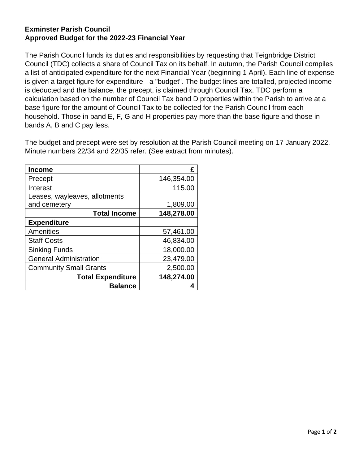## **Exminster Parish Council Approved Budget for the 2022-23 Financial Year**

The Parish Council funds its duties and responsibilities by requesting that Teignbridge District Council (TDC) collects a share of Council Tax on its behalf. In autumn, the Parish Council compiles a list of anticipated expenditure for the next Financial Year (beginning 1 April). Each line of expense is given a target figure for expenditure - a "budget". The budget lines are totalled, projected income is deducted and the balance, the precept, is claimed through Council Tax. TDC perform a calculation based on the number of Council Tax band D properties within the Parish to arrive at a base figure for the amount of Council Tax to be collected for the Parish Council from each household. Those in band E, F, G and H properties pay more than the base figure and those in bands A, B and C pay less.

The budget and precept were set by resolution at the Parish Council meeting on 17 January 2022. Minute numbers 22/34 and 22/35 refer. (See extract from minutes).

| <b>Income</b>                 | £          |
|-------------------------------|------------|
| Precept                       | 146,354.00 |
| Interest                      | 115.00     |
| Leases, wayleaves, allotments |            |
| and cemetery                  | 1,809.00   |
| <b>Total Income</b>           | 148,278.00 |
| <b>Expenditure</b>            |            |
| Amenities                     | 57,461.00  |
| <b>Staff Costs</b>            | 46,834.00  |
| <b>Sinking Funds</b>          | 18,000.00  |
| <b>General Administration</b> | 23,479.00  |
| <b>Community Small Grants</b> | 2,500.00   |
| <b>Total Expenditure</b>      | 148,274.00 |
| <b>Balance</b>                |            |